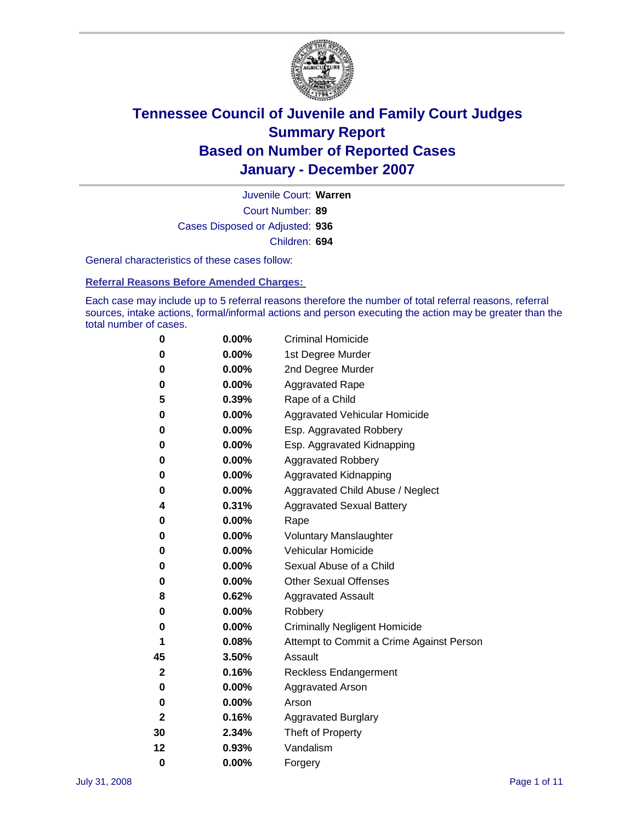

Court Number: **89** Juvenile Court: **Warren** Cases Disposed or Adjusted: **936** Children: **694**

General characteristics of these cases follow:

**Referral Reasons Before Amended Charges:** 

Each case may include up to 5 referral reasons therefore the number of total referral reasons, referral sources, intake actions, formal/informal actions and person executing the action may be greater than the total number of cases.

| 0  | 0.00%    | <b>Criminal Homicide</b>                 |
|----|----------|------------------------------------------|
| 0  | 0.00%    | 1st Degree Murder                        |
| 0  | $0.00\%$ | 2nd Degree Murder                        |
| 0  | 0.00%    | <b>Aggravated Rape</b>                   |
| 5  | 0.39%    | Rape of a Child                          |
| 0  | 0.00%    | Aggravated Vehicular Homicide            |
| 0  | 0.00%    | Esp. Aggravated Robbery                  |
| 0  | 0.00%    | Esp. Aggravated Kidnapping               |
| 0  | 0.00%    | <b>Aggravated Robbery</b>                |
| 0  | $0.00\%$ | Aggravated Kidnapping                    |
| 0  | 0.00%    | Aggravated Child Abuse / Neglect         |
| 4  | 0.31%    | <b>Aggravated Sexual Battery</b>         |
| 0  | 0.00%    | Rape                                     |
| 0  | 0.00%    | <b>Voluntary Manslaughter</b>            |
| 0  | 0.00%    | Vehicular Homicide                       |
| 0  | 0.00%    | Sexual Abuse of a Child                  |
| 0  | 0.00%    | <b>Other Sexual Offenses</b>             |
| 8  | 0.62%    | <b>Aggravated Assault</b>                |
| 0  | $0.00\%$ | Robbery                                  |
| 0  | 0.00%    | <b>Criminally Negligent Homicide</b>     |
| 1  | 0.08%    | Attempt to Commit a Crime Against Person |
| 45 | 3.50%    | Assault                                  |
| 2  | 0.16%    | <b>Reckless Endangerment</b>             |
| 0  | 0.00%    | <b>Aggravated Arson</b>                  |
| 0  | 0.00%    | Arson                                    |
| 2  | 0.16%    | <b>Aggravated Burglary</b>               |
| 30 | 2.34%    | Theft of Property                        |
| 12 | 0.93%    | Vandalism                                |
| 0  | 0.00%    | Forgery                                  |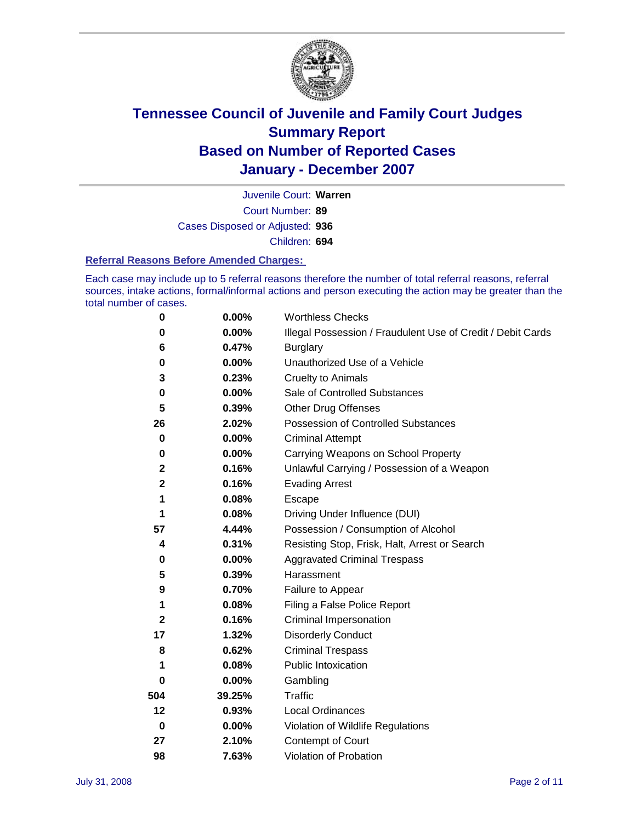

Court Number: **89** Juvenile Court: **Warren** Cases Disposed or Adjusted: **936** Children: **694**

#### **Referral Reasons Before Amended Charges:**

Each case may include up to 5 referral reasons therefore the number of total referral reasons, referral sources, intake actions, formal/informal actions and person executing the action may be greater than the total number of cases.

| 0            | 0.00%    | <b>Worthless Checks</b>                                     |
|--------------|----------|-------------------------------------------------------------|
| 0            | 0.00%    | Illegal Possession / Fraudulent Use of Credit / Debit Cards |
| 6            | 0.47%    | <b>Burglary</b>                                             |
| 0            | $0.00\%$ | Unauthorized Use of a Vehicle                               |
| 3            | 0.23%    | <b>Cruelty to Animals</b>                                   |
| 0            | $0.00\%$ | Sale of Controlled Substances                               |
| 5            | 0.39%    | <b>Other Drug Offenses</b>                                  |
| 26           | 2.02%    | Possession of Controlled Substances                         |
| 0            | 0.00%    | <b>Criminal Attempt</b>                                     |
| 0            | 0.00%    | Carrying Weapons on School Property                         |
| $\mathbf{2}$ | 0.16%    | Unlawful Carrying / Possession of a Weapon                  |
| $\mathbf 2$  | 0.16%    | <b>Evading Arrest</b>                                       |
| 1            | 0.08%    | Escape                                                      |
| 1            | 0.08%    | Driving Under Influence (DUI)                               |
| 57           | 4.44%    | Possession / Consumption of Alcohol                         |
| 4            | 0.31%    | Resisting Stop, Frisk, Halt, Arrest or Search               |
| 0            | $0.00\%$ | <b>Aggravated Criminal Trespass</b>                         |
| 5            | 0.39%    | Harassment                                                  |
| 9            | 0.70%    | Failure to Appear                                           |
| 1            | 0.08%    | Filing a False Police Report                                |
| $\mathbf 2$  | 0.16%    | Criminal Impersonation                                      |
| 17           | 1.32%    | <b>Disorderly Conduct</b>                                   |
| 8            | 0.62%    | <b>Criminal Trespass</b>                                    |
| 1            | 0.08%    | <b>Public Intoxication</b>                                  |
| 0            | 0.00%    | Gambling                                                    |
| 504          | 39.25%   | Traffic                                                     |
| 12           | 0.93%    | <b>Local Ordinances</b>                                     |
| $\mathbf 0$  | $0.00\%$ | Violation of Wildlife Regulations                           |
| 27           | 2.10%    | Contempt of Court                                           |
| 98           | 7.63%    | Violation of Probation                                      |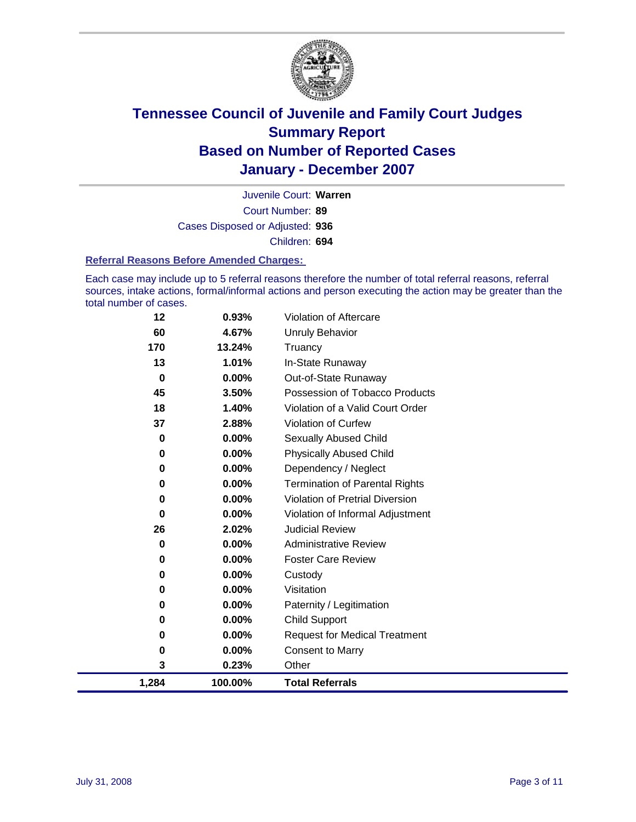

Court Number: **89** Juvenile Court: **Warren** Cases Disposed or Adjusted: **936** Children: **694**

#### **Referral Reasons Before Amended Charges:**

Each case may include up to 5 referral reasons therefore the number of total referral reasons, referral sources, intake actions, formal/informal actions and person executing the action may be greater than the total number of cases.

| 0      | 0.00%             | <b>Request for Medical Treatment</b>   |
|--------|-------------------|----------------------------------------|
| 0      | $0.00\%$          | <b>Child Support</b>                   |
| 0      | $0.00\%$          | Paternity / Legitimation               |
| 0<br>0 | 0.00%<br>$0.00\%$ | Custody<br>Visitation                  |
| 0      | 0.00%             | <b>Foster Care Review</b>              |
| 0      | $0.00\%$          | <b>Administrative Review</b>           |
| 26     | 2.02%             | <b>Judicial Review</b>                 |
| 0      | $0.00\%$          | Violation of Informal Adjustment       |
| 0      | $0.00\%$          | <b>Violation of Pretrial Diversion</b> |
| 0      | $0.00\%$          | <b>Termination of Parental Rights</b>  |
| 0      | 0.00%             | Dependency / Neglect                   |
| 0      | $0.00\%$          | <b>Physically Abused Child</b>         |
| 0      | $0.00\%$          | <b>Sexually Abused Child</b>           |
| 37     | 2.88%             | <b>Violation of Curfew</b>             |
| 18     | 1.40%             | Violation of a Valid Court Order       |
| 45     | 3.50%             | Possession of Tobacco Products         |
| 0      | 0.00%             | Out-of-State Runaway                   |
| 13     | 1.01%             | In-State Runaway                       |
| 170    | 13.24%            | Truancy                                |
| 60     | 4.67%             | <b>Unruly Behavior</b>                 |
| 12     | 0.93%             | <b>Violation of Aftercare</b>          |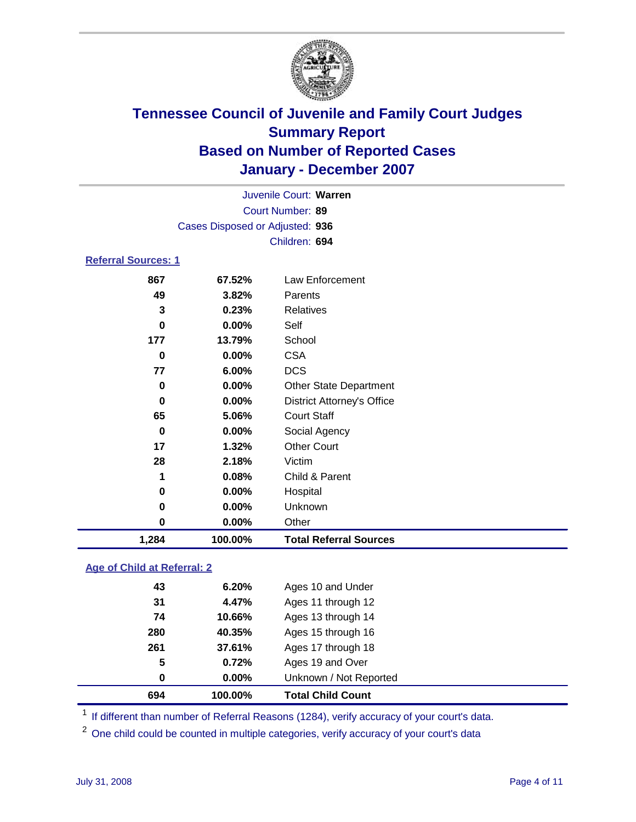

|                                 |                  | Juvenile Court: Warren |  |  |  |  |
|---------------------------------|------------------|------------------------|--|--|--|--|
|                                 | Court Number: 89 |                        |  |  |  |  |
| Cases Disposed or Adjusted: 936 |                  |                        |  |  |  |  |
|                                 |                  | Children: 694          |  |  |  |  |
| <b>Referral Sources: 1</b>      |                  |                        |  |  |  |  |
| 867                             | 67.52%           | Law Enforcement        |  |  |  |  |
| 49                              | 3.82%            | Parents                |  |  |  |  |
| 3                               | 0.23%            | <b>Relatives</b>       |  |  |  |  |
| 0                               | $0.00\%$         | Self                   |  |  |  |  |
|                                 |                  |                        |  |  |  |  |

| 1,284 | 100.00% | <b>Total Referral Sources</b>     |  |
|-------|---------|-----------------------------------|--|
| 0     | 0.00%   | Other                             |  |
| 0     | 0.00%   | Unknown                           |  |
| 0     | 0.00%   | Hospital                          |  |
| 1     | 0.08%   | Child & Parent                    |  |
| 28    | 2.18%   | Victim                            |  |
| 17    | 1.32%   | <b>Other Court</b>                |  |
| 0     | 0.00%   | Social Agency                     |  |
| 65    | 5.06%   | <b>Court Staff</b>                |  |
| 0     | 0.00%   | <b>District Attorney's Office</b> |  |
| 0     | 0.00%   | <b>Other State Department</b>     |  |
| 77    | 6.00%   | <b>DCS</b>                        |  |
| 0     | 0.00%   | <b>CSA</b>                        |  |
| 177   | 13.79%  | School                            |  |

#### **Age of Child at Referral: 2**

| 694 | 100.00%       | <b>Total Child Count</b> |
|-----|---------------|--------------------------|
|     | $0.00\%$<br>0 | Unknown / Not Reported   |
|     | 5<br>0.72%    | Ages 19 and Over         |
| 261 | 37.61%        | Ages 17 through 18       |
|     | 280<br>40.35% | Ages 15 through 16       |
|     | 74<br>10.66%  | Ages 13 through 14       |
|     | 31<br>4.47%   | Ages 11 through 12       |
|     | 43<br>6.20%   | Ages 10 and Under        |
|     |               |                          |

<sup>1</sup> If different than number of Referral Reasons (1284), verify accuracy of your court's data.

One child could be counted in multiple categories, verify accuracy of your court's data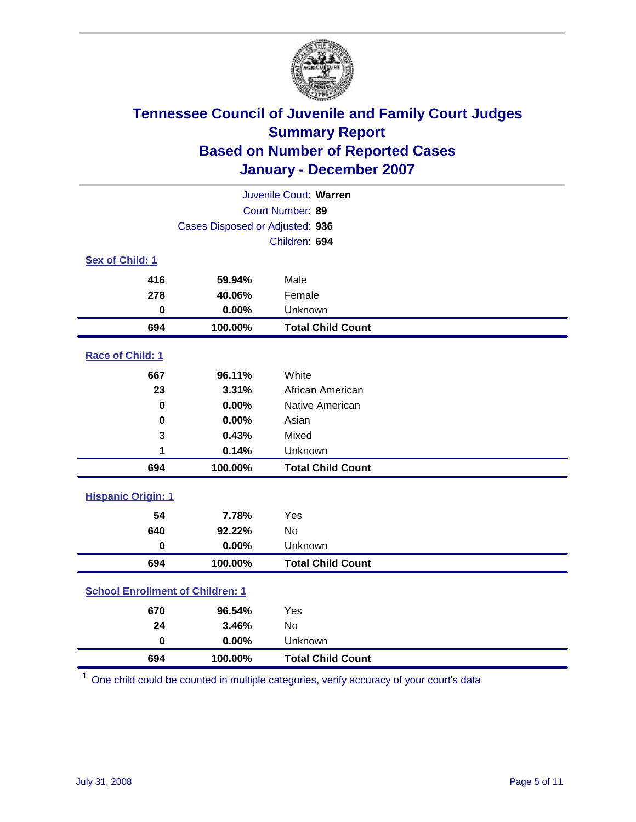

| Juvenile Court: Warren                  |                                 |                          |  |  |  |
|-----------------------------------------|---------------------------------|--------------------------|--|--|--|
| Court Number: 89                        |                                 |                          |  |  |  |
|                                         | Cases Disposed or Adjusted: 936 |                          |  |  |  |
|                                         |                                 | Children: 694            |  |  |  |
| Sex of Child: 1                         |                                 |                          |  |  |  |
| 416                                     | 59.94%                          | Male                     |  |  |  |
| 278                                     | 40.06%                          | Female                   |  |  |  |
| $\bf{0}$                                | 0.00%                           | Unknown                  |  |  |  |
| 694                                     | 100.00%                         | <b>Total Child Count</b> |  |  |  |
| Race of Child: 1                        |                                 |                          |  |  |  |
| 667                                     | 96.11%                          | White                    |  |  |  |
| 23                                      | 3.31%                           | African American         |  |  |  |
| 0                                       | 0.00%                           | Native American          |  |  |  |
| $\bf{0}$                                | 0.00%                           | Asian                    |  |  |  |
| 3                                       | 0.43%                           | Mixed                    |  |  |  |
| 1                                       | 0.14%                           | Unknown                  |  |  |  |
| 694                                     | 100.00%                         | <b>Total Child Count</b> |  |  |  |
| <b>Hispanic Origin: 1</b>               |                                 |                          |  |  |  |
| 54                                      | 7.78%                           | Yes                      |  |  |  |
| 640                                     | 92.22%                          | <b>No</b>                |  |  |  |
| $\bf{0}$                                | 0.00%                           | Unknown                  |  |  |  |
| 694                                     | 100.00%                         | <b>Total Child Count</b> |  |  |  |
| <b>School Enrollment of Children: 1</b> |                                 |                          |  |  |  |
| 670                                     | 96.54%                          | Yes                      |  |  |  |
| 24                                      | 3.46%                           | No                       |  |  |  |
| $\mathbf 0$                             | 0.00%                           | Unknown                  |  |  |  |
| 694                                     | 100.00%                         | <b>Total Child Count</b> |  |  |  |

One child could be counted in multiple categories, verify accuracy of your court's data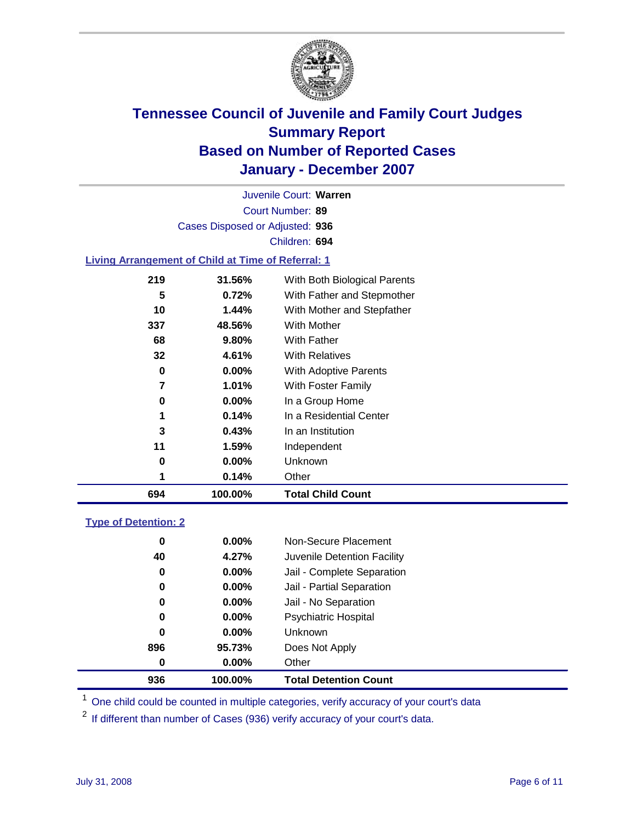

Court Number: **89** Juvenile Court: **Warren** Cases Disposed or Adjusted: **936** Children: **694**

#### **Living Arrangement of Child at Time of Referral: 1**

| 694 | 100.00%  | <b>Total Child Count</b>     |  |
|-----|----------|------------------------------|--|
| 1   | 0.14%    | Other                        |  |
| 0   | 0.00%    | Unknown                      |  |
| 11  | 1.59%    | Independent                  |  |
| 3   | 0.43%    | In an Institution            |  |
| 1   | 0.14%    | In a Residential Center      |  |
| 0   | $0.00\%$ | In a Group Home              |  |
| 7   | 1.01%    | With Foster Family           |  |
| 0   | $0.00\%$ | With Adoptive Parents        |  |
| 32  | 4.61%    | <b>With Relatives</b>        |  |
| 68  | 9.80%    | With Father                  |  |
| 337 | 48.56%   | With Mother                  |  |
| 10  | 1.44%    | With Mother and Stepfather   |  |
| 5   | 0.72%    | With Father and Stepmother   |  |
| 219 | 31.56%   | With Both Biological Parents |  |
|     |          |                              |  |

#### **Type of Detention: 2**

| 936 | 100.00%  | <b>Total Detention Count</b> |
|-----|----------|------------------------------|
| 0   | $0.00\%$ | Other                        |
| 896 | 95.73%   | Does Not Apply               |
| 0   | $0.00\%$ | <b>Unknown</b>               |
| 0   | $0.00\%$ | <b>Psychiatric Hospital</b>  |
| 0   | 0.00%    | Jail - No Separation         |
| 0   | $0.00\%$ | Jail - Partial Separation    |
| 0   | $0.00\%$ | Jail - Complete Separation   |
| 40  | 4.27%    | Juvenile Detention Facility  |
| 0   | $0.00\%$ | Non-Secure Placement         |
|     |          |                              |

<sup>1</sup> One child could be counted in multiple categories, verify accuracy of your court's data

<sup>2</sup> If different than number of Cases (936) verify accuracy of your court's data.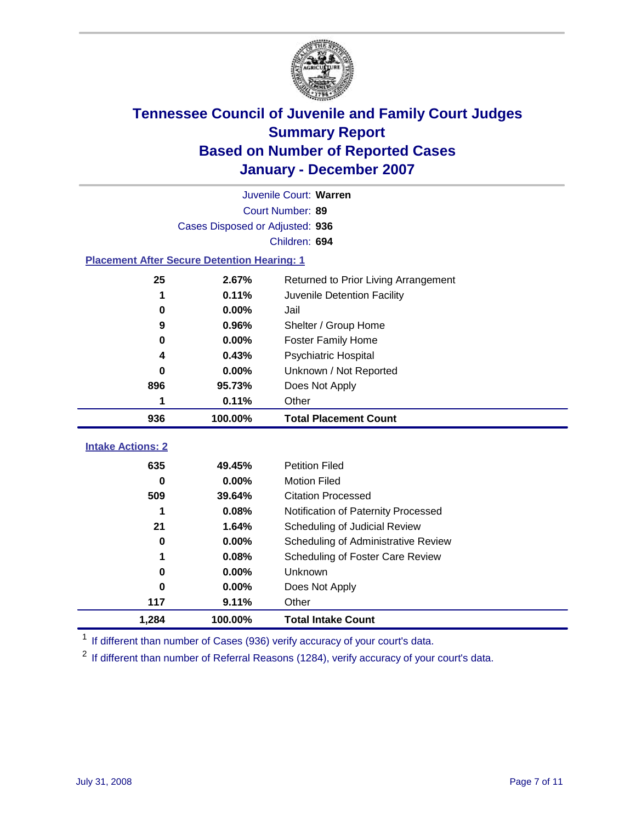

|                                                    | Juvenile Court: Warren |                                      |  |  |  |
|----------------------------------------------------|------------------------|--------------------------------------|--|--|--|
|                                                    | Court Number: 89       |                                      |  |  |  |
| Cases Disposed or Adjusted: 936                    |                        |                                      |  |  |  |
|                                                    |                        | Children: 694                        |  |  |  |
| <b>Placement After Secure Detention Hearing: 1</b> |                        |                                      |  |  |  |
| 25                                                 | 2.67%                  | Returned to Prior Living Arrangement |  |  |  |
| 1                                                  | 0.11%                  | Juvenile Detention Facility          |  |  |  |
| 0                                                  | 0.00%                  | Jail                                 |  |  |  |
| 9                                                  | 0.96%                  | Shelter / Group Home                 |  |  |  |
| 0                                                  | 0.00%                  | <b>Foster Family Home</b>            |  |  |  |
| 4                                                  | 0.43%                  | Psychiatric Hospital                 |  |  |  |
| 0                                                  | $0.00\%$               | Unknown / Not Reported               |  |  |  |
| 896                                                | 95.73%                 | Does Not Apply                       |  |  |  |
| 1                                                  | 0.11%                  | Other                                |  |  |  |
| 936                                                | 100.00%                | <b>Total Placement Count</b>         |  |  |  |
|                                                    |                        |                                      |  |  |  |
| <b>Intake Actions: 2</b>                           |                        |                                      |  |  |  |
| 635                                                | 49.45%                 | <b>Petition Filed</b>                |  |  |  |
| 0                                                  | 0.00%                  | <b>Motion Filed</b>                  |  |  |  |
| 509                                                | 39.64%                 | <b>Citation Processed</b>            |  |  |  |
| 1                                                  | 0.08%                  | Notification of Paternity Processed  |  |  |  |
| 21                                                 | 1.64%                  | Scheduling of Judicial Review        |  |  |  |
| 0                                                  | 0.00%                  | Scheduling of Administrative Review  |  |  |  |
| 1                                                  | 0.08%                  | Scheduling of Foster Care Review     |  |  |  |
| 0                                                  | 0.00%                  | Unknown                              |  |  |  |
| 0                                                  | 0.00%                  | Does Not Apply                       |  |  |  |
| 117                                                | 9.11%                  | Other                                |  |  |  |
| 1,284                                              | 100.00%                | <b>Total Intake Count</b>            |  |  |  |

<sup>1</sup> If different than number of Cases (936) verify accuracy of your court's data.

<sup>2</sup> If different than number of Referral Reasons (1284), verify accuracy of your court's data.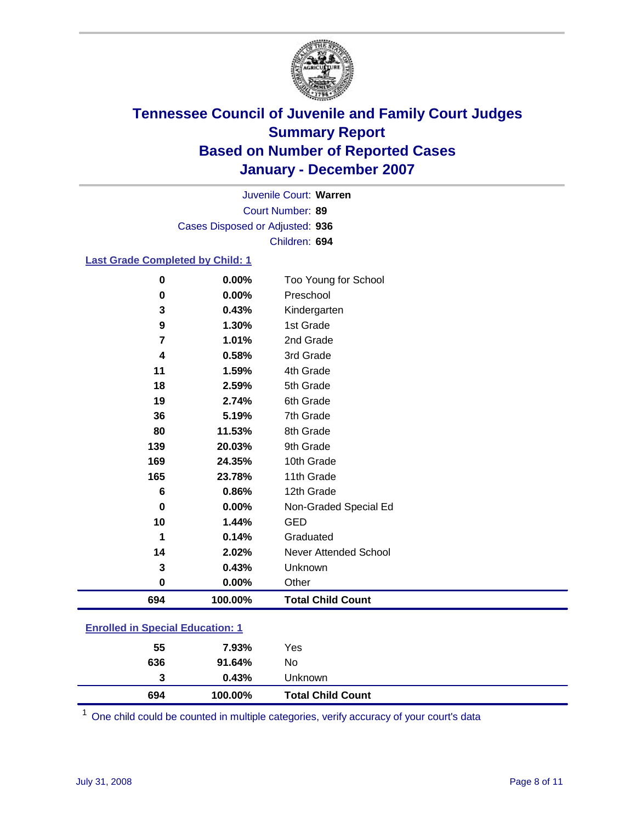

Court Number: **89** Juvenile Court: **Warren** Cases Disposed or Adjusted: **936** Children: **694**

#### **Last Grade Completed by Child: 1**

| $\bf{0}$         | 0.00%   | Too Young for School     |
|------------------|---------|--------------------------|
| 0                | 0.00%   | Preschool                |
| 3                | 0.43%   | Kindergarten             |
| 9                | 1.30%   | 1st Grade                |
| 7                | 1.01%   | 2nd Grade                |
| $\boldsymbol{4}$ | 0.58%   | 3rd Grade                |
| 11               | 1.59%   | 4th Grade                |
| 18               | 2.59%   | 5th Grade                |
| 19               | 2.74%   | 6th Grade                |
| 36               | 5.19%   | 7th Grade                |
| 80               | 11.53%  | 8th Grade                |
| 139              | 20.03%  | 9th Grade                |
| 169              | 24.35%  | 10th Grade               |
| 165              | 23.78%  | 11th Grade               |
| 6                | 0.86%   | 12th Grade               |
| 0                | 0.00%   | Non-Graded Special Ed    |
| 10               | 1.44%   | <b>GED</b>               |
| 1                | 0.14%   | Graduated                |
| 14               | 2.02%   | Never Attended School    |
| 3                | 0.43%   | Unknown                  |
| $\bf{0}$         | 0.00%   | Other                    |
| 694              | 100.00% | <b>Total Child Count</b> |

### **Enrolled in Special Education: 1**

| 694 | 100.00% | <b>Total Child Count</b> |  |
|-----|---------|--------------------------|--|
| 3   | 0.43%   | Unknown                  |  |
| 636 | 91.64%  | No                       |  |
| 55  | 7.93%   | Yes                      |  |

<sup>1</sup> One child could be counted in multiple categories, verify accuracy of your court's data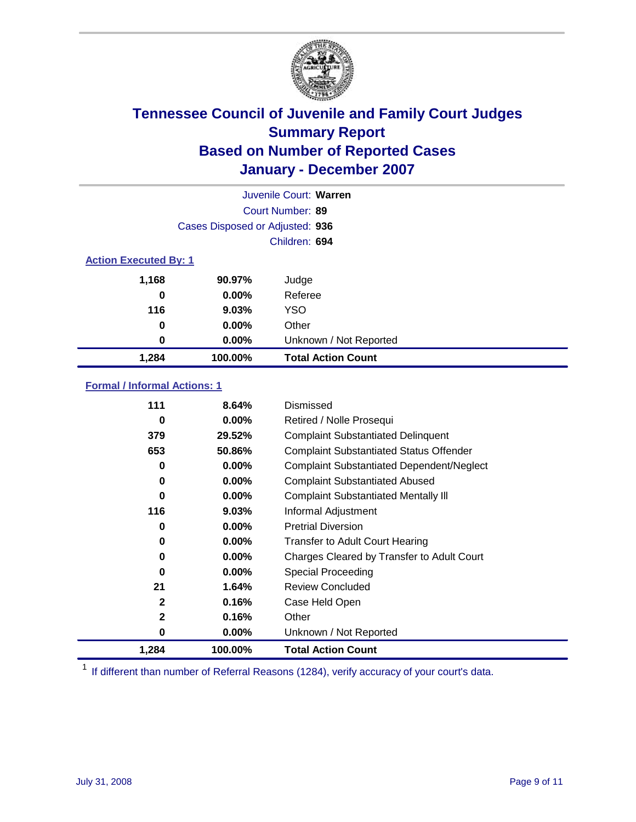

|                              |                                 | Juvenile Court: Warren    |
|------------------------------|---------------------------------|---------------------------|
|                              |                                 | Court Number: 89          |
|                              | Cases Disposed or Adjusted: 936 |                           |
|                              |                                 | Children: 694             |
| <b>Action Executed By: 1</b> |                                 |                           |
| 1,168                        | 90.97%                          | Judge                     |
| 0                            | $0.00\%$                        | Referee                   |
| 116                          | 9.03%                           | <b>YSO</b>                |
| 0                            | $0.00\%$                        | Other                     |
| 0                            | $0.00\%$                        | Unknown / Not Reported    |
| 1,284                        | 100.00%                         | <b>Total Action Count</b> |

### **Formal / Informal Actions: 1**

| 111          | 8.64%    | Dismissed                                        |
|--------------|----------|--------------------------------------------------|
| 0            | $0.00\%$ | Retired / Nolle Prosequi                         |
| 379          | 29.52%   | <b>Complaint Substantiated Delinquent</b>        |
| 653          | 50.86%   | <b>Complaint Substantiated Status Offender</b>   |
| 0            | $0.00\%$ | <b>Complaint Substantiated Dependent/Neglect</b> |
| 0            | $0.00\%$ | <b>Complaint Substantiated Abused</b>            |
| 0            | $0.00\%$ | <b>Complaint Substantiated Mentally III</b>      |
| 116          | $9.03\%$ | Informal Adjustment                              |
| 0            | $0.00\%$ | <b>Pretrial Diversion</b>                        |
| 0            | $0.00\%$ | <b>Transfer to Adult Court Hearing</b>           |
| 0            | $0.00\%$ | Charges Cleared by Transfer to Adult Court       |
| 0            | $0.00\%$ | Special Proceeding                               |
| 21           | 1.64%    | <b>Review Concluded</b>                          |
| $\mathbf{2}$ | 0.16%    | Case Held Open                                   |
| $\mathbf{2}$ | 0.16%    | Other                                            |
| 0            | 0.00%    | Unknown / Not Reported                           |
| 1,284        | 100.00%  | <b>Total Action Count</b>                        |

<sup>1</sup> If different than number of Referral Reasons (1284), verify accuracy of your court's data.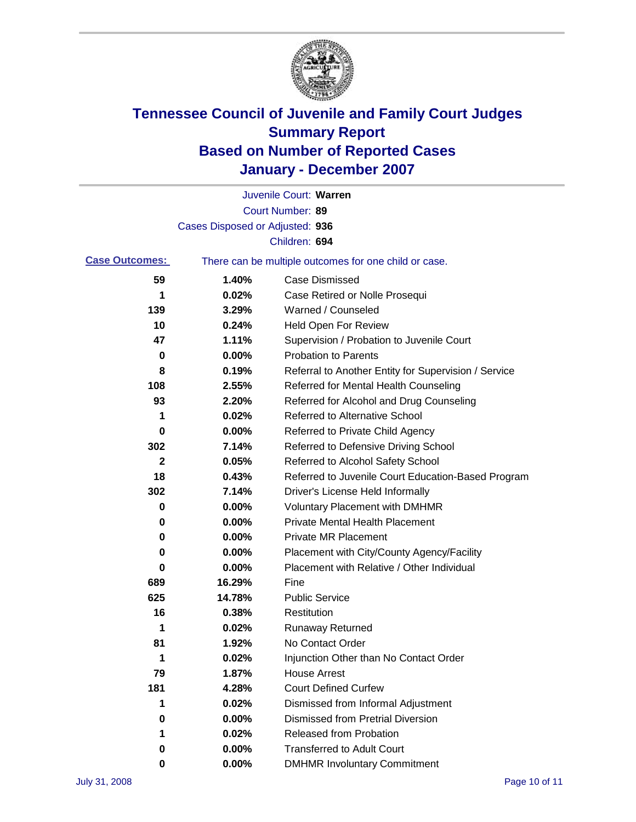

|                       |                                 | Juvenile Court: Warren                                |
|-----------------------|---------------------------------|-------------------------------------------------------|
|                       |                                 | Court Number: 89                                      |
|                       | Cases Disposed or Adjusted: 936 |                                                       |
|                       |                                 | Children: 694                                         |
| <b>Case Outcomes:</b> |                                 | There can be multiple outcomes for one child or case. |
| 59                    | 1.40%                           | <b>Case Dismissed</b>                                 |
| 1                     | 0.02%                           | Case Retired or Nolle Prosequi                        |
| 139                   | 3.29%                           | Warned / Counseled                                    |
| 10                    | 0.24%                           | <b>Held Open For Review</b>                           |
| 47                    | 1.11%                           | Supervision / Probation to Juvenile Court             |
| 0                     | 0.00%                           | <b>Probation to Parents</b>                           |
| 8                     | 0.19%                           | Referral to Another Entity for Supervision / Service  |
| 108                   | 2.55%                           | Referred for Mental Health Counseling                 |
| 93                    | 2.20%                           | Referred for Alcohol and Drug Counseling              |
| 1                     | 0.02%                           | <b>Referred to Alternative School</b>                 |
| 0                     | 0.00%                           | Referred to Private Child Agency                      |
| 302                   | 7.14%                           | Referred to Defensive Driving School                  |
| 2                     | 0.05%                           | Referred to Alcohol Safety School                     |
| 18                    | 0.43%                           | Referred to Juvenile Court Education-Based Program    |
| 302                   | 7.14%                           | Driver's License Held Informally                      |
| 0                     | 0.00%                           | <b>Voluntary Placement with DMHMR</b>                 |
| 0                     | 0.00%                           | <b>Private Mental Health Placement</b>                |
| 0                     | 0.00%                           | <b>Private MR Placement</b>                           |
| 0                     | 0.00%                           | Placement with City/County Agency/Facility            |
| 0                     | 0.00%                           | Placement with Relative / Other Individual            |
| 689                   | 16.29%                          | Fine                                                  |
| 625                   | 14.78%                          | <b>Public Service</b>                                 |
| 16                    | 0.38%                           | Restitution                                           |
| 1                     | 0.02%                           | <b>Runaway Returned</b>                               |
| 81                    | 1.92%                           | No Contact Order                                      |
| 1                     | 0.02%                           | Injunction Other than No Contact Order                |
| 79                    | 1.87%                           | <b>House Arrest</b>                                   |
| 181                   | 4.28%                           | <b>Court Defined Curfew</b>                           |
| 1                     | 0.02%                           | Dismissed from Informal Adjustment                    |
| 0                     | 0.00%                           | <b>Dismissed from Pretrial Diversion</b>              |
| 1                     | 0.02%                           | <b>Released from Probation</b>                        |
| 0                     | 0.00%                           | <b>Transferred to Adult Court</b>                     |
| 0                     | 0.00%                           | <b>DMHMR Involuntary Commitment</b>                   |